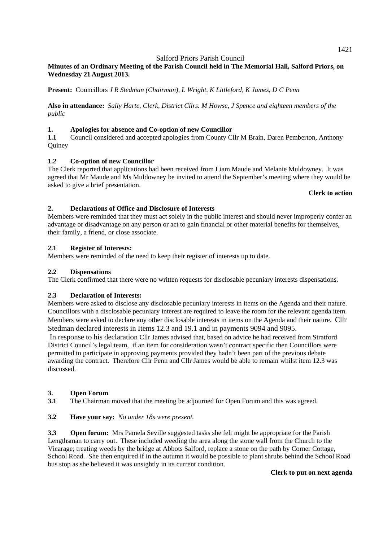# **Minutes of an Ordinary Meeting of the Parish Council held in The Memorial Hall, Salford Priors, on Wednesday 21 August 2013.**

**Present:** Councillors *J R Stedman (Chairman), L Wright, K Littleford, K James, D C Penn* 

**Also in attendance:** *Sally Harte, Clerk, District Cllrs. M Howse, J Spence and eighteen members of the public* 

### **1. Apologies for absence and Co-option of new Councillor**

**1.1** Council considered and accepted apologies from County Cllr M Brain, Daren Pemberton, Anthony **Quiney** 

### **1.2 Co-option of new Councillor**

The Clerk reported that applications had been received from Liam Maude and Melanie Muldowney. It was agreed that Mr Maude and Ms Muldowney be invited to attend the September's meeting where they would be asked to give a brief presentation.

#### **Clerk to action**

#### **2. Declarations of Office and Disclosure of Interests**

Members were reminded that they must act solely in the public interest and should never improperly confer an advantage or disadvantage on any person or act to gain financial or other material benefits for themselves, their family, a friend, or close associate.

#### **2.1 Register of Interests:**

Members were reminded of the need to keep their register of interests up to date.

### **2.2 Dispensations**

The Clerk confirmed that there were no written requests for disclosable pecuniary interests dispensations.

### **2.3 Declaration of Interests:**

Members were asked to disclose any disclosable pecuniary interests in items on the Agenda and their nature. Councillors with a disclosable pecuniary interest are required to leave the room for the relevant agenda item. Members were asked to declare any other disclosable interests in items on the Agenda and their nature. Cllr Stedman declared interests in Items 12.3 and 19.1 and in payments 9094 and 9095.

 In response to his declaration Cllr James advised that, based on advice he had received from Stratford District Council's legal team, if an item for consideration wasn't contract specific then Councillors were permitted to participate in approving payments provided they hadn't been part of the previous debate awarding the contract. Therefore Cllr Penn and Cllr James would be able to remain whilst item 12.3 was discussed.

### **3. Open Forum**

**3.1** The Chairman moved that the meeting be adjourned for Open Forum and this was agreed.

#### **3.2 Have your say:** *No under 18s were present.*

**3.3 Open forum:** Mrs Pamela Seville suggested tasks she felt might be appropriate for the Parish Lengthsman to carry out. These included weeding the area along the stone wall from the Church to the Vicarage; treating weeds by the bridge at Abbots Salford, replace a stone on the path by Corner Cottage, School Road. She then enquired if in the autumn it would be possible to plant shrubs behind the School Road bus stop as she believed it was unsightly in its current condition.

#### **Clerk to put on next agenda**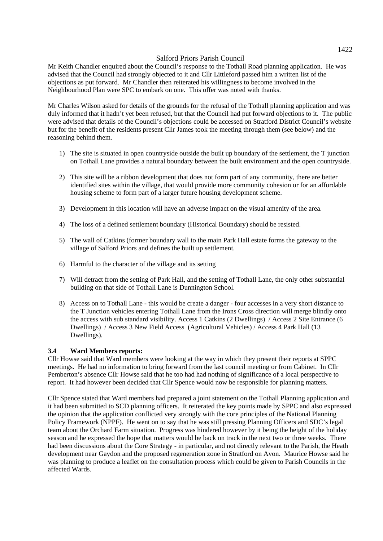Mr Keith Chandler enquired about the Council's response to the Tothall Road planning application. He was advised that the Council had strongly objected to it and Cllr Littleford passed him a written list of the objections as put forward. Mr Chandler then reiterated his willingness to become involved in the Neighbourhood Plan were SPC to embark on one. This offer was noted with thanks.

Mr Charles Wilson asked for details of the grounds for the refusal of the Tothall planning application and was duly informed that it hadn't yet been refused, but that the Council had put forward objections to it. The public were advised that details of the Council's objections could be accessed on Stratford District Council's website but for the benefit of the residents present Cllr James took the meeting through them (see below) and the reasoning behind them.

- 1) The site is situated in open countryside outside the built up boundary of the settlement, the T junction on Tothall Lane provides a natural boundary between the built environment and the open countryside.
- 2) This site will be a ribbon development that does not form part of any community, there are better identified sites within the village, that would provide more community cohesion or for an affordable housing scheme to form part of a larger future housing development scheme.
- 3) Development in this location will have an adverse impact on the visual amenity of the area.
- 4) The loss of a defined settlement boundary (Historical Boundary) should be resisted.
- 5) The wall of Catkins (former boundary wall to the main Park Hall estate forms the gateway to the village of Salford Priors and defines the built up settlement.
- 6) Harmful to the character of the village and its setting
- 7) Will detract from the setting of Park Hall, and the setting of Tothall Lane, the only other substantial building on that side of Tothall Lane is Dunnington School.
- 8) Access on to Tothall Lane this would be create a danger four accesses in a very short distance to the T Junction vehicles entering Tothall Lane from the Irons Cross direction will merge blindly onto the access with sub standard visibility. Access 1 Catkins (2 Dwellings) / Access 2 Site Entrance (6 Dwellings) / Access 3 New Field Access (Agricultural Vehicles) / Access 4 Park Hall (13 Dwellings).

### **3.4 Ward Members reports:**

Cllr Howse said that Ward members were looking at the way in which they present their reports at SPPC meetings. He had no information to bring forward from the last council meeting or from Cabinet. In Cllr Pemberton's absence Cllr Howse said that he too had had nothing of significance of a local perspective to report. It had however been decided that Cllr Spence would now be responsible for planning matters.

Cllr Spence stated that Ward members had prepared a joint statement on the Tothall Planning application and it had been submitted to SCD planning officers. It reiterated the key points made by SPPC and also expressed the opinion that the application conflicted very strongly with the core principles of the National Planning Policy Framework (NPPF). He went on to say that he was still pressing Planning Officers and SDC's legal team about the Orchard Farm situation. Progress was hindered however by it being the height of the holiday season and he expressed the hope that matters would be back on track in the next two or three weeks. There had been discussions about the Core Strategy - in particular, and not directly relevant to the Parish, the Heath development near Gaydon and the proposed regeneration zone in Stratford on Avon. Maurice Howse said he was planning to produce a leaflet on the consultation process which could be given to Parish Councils in the affected Wards.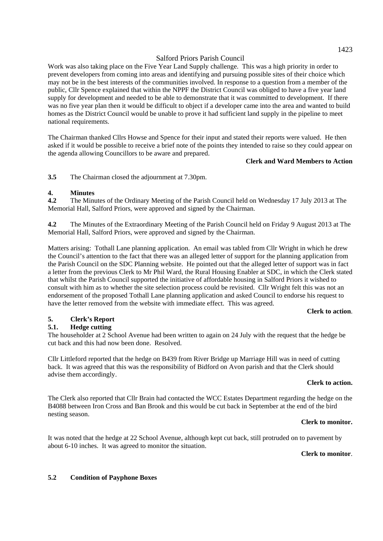Work was also taking place on the Five Year Land Supply challenge. This was a high priority in order to prevent developers from coming into areas and identifying and pursuing possible sites of their choice which may not be in the best interests of the communities involved. In response to a question from a member of the public, Cllr Spence explained that within the NPPF the District Council was obliged to have a five year land supply for development and needed to be able to demonstrate that it was committed to development. If there was no five year plan then it would be difficult to object if a developer came into the area and wanted to build homes as the District Council would be unable to prove it had sufficient land supply in the pipeline to meet national requirements.

The Chairman thanked Cllrs Howse and Spence for their input and stated their reports were valued. He then asked if it would be possible to receive a brief note of the points they intended to raise so they could appear on the agenda allowing Councillors to be aware and prepared.

# **Clerk and Ward Members to Action**

**3.5** The Chairman closed the adjournment at 7.30pm.

# **4. Minutes**

**4.2** The Minutes of the Ordinary Meeting of the Parish Council held on Wednesday 17 July 2013 at The Memorial Hall, Salford Priors, were approved and signed by the Chairman.

**4.2** The Minutes of the Extraordinary Meeting of the Parish Council held on Friday 9 August 2013 at The Memorial Hall, Salford Priors, were approved and signed by the Chairman.

Matters arising: Tothall Lane planning application. An email was tabled from Cllr Wright in which he drew the Council's attention to the fact that there was an alleged letter of support for the planning application from the Parish Council on the SDC Planning website. He pointed out that the alleged letter of support was in fact a letter from the previous Clerk to Mr Phil Ward, the Rural Housing Enabler at SDC, in which the Clerk stated that whilst the Parish Council supported the initiative of affordable housing in Salford Priors it wished to consult with him as to whether the site selection process could be revisited. Cllr Wright felt this was not an endorsement of the proposed Tothall Lane planning application and asked Council to endorse his request to have the letter removed from the website with immediate effect. This was agreed.

### **Clerk to action**.

# **5. Clerk's Report**

# **5.1. Hedge cutting**

The householder at 2 School Avenue had been written to again on 24 July with the request that the hedge be cut back and this had now been done. Resolved.

Cllr Littleford reported that the hedge on B439 from River Bridge up Marriage Hill was in need of cutting back. It was agreed that this was the responsibility of Bidford on Avon parish and that the Clerk should advise them accordingly.

## **Clerk to action.**

The Clerk also reported that Cllr Brain had contacted the WCC Estates Department regarding the hedge on the B4088 between Iron Cross and Ban Brook and this would be cut back in September at the end of the bird nesting season.

### **Clerk to monitor.**

It was noted that the hedge at 22 School Avenue, although kept cut back, still protruded on to pavement by about 6-10 inches. It was agreed to monitor the situation.

## **Clerk to monitor**.

# **5.2 Condition of Payphone Boxes**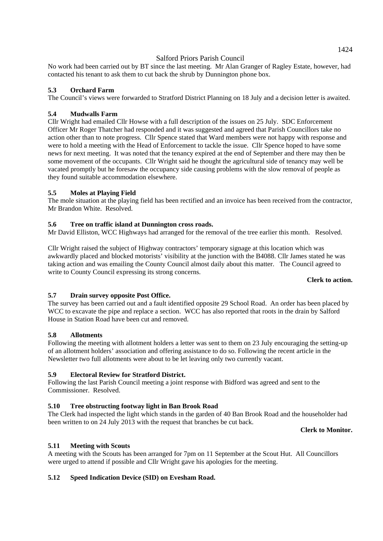No work had been carried out by BT since the last meeting. Mr Alan Granger of Ragley Estate, however, had contacted his tenant to ask them to cut back the shrub by Dunnington phone box.

# **5.3 Orchard Farm**

The Council's views were forwarded to Stratford District Planning on 18 July and a decision letter is awaited.

# **5.4 Mudwalls Farm**

Cllr Wright had emailed Cllr Howse with a full description of the issues on 25 July. SDC Enforcement Officer Mr Roger Thatcher had responded and it was suggested and agreed that Parish Councillors take no action other than to note progress. Cllr Spence stated that Ward members were not happy with response and were to hold a meeting with the Head of Enforcement to tackle the issue. Cllr Spence hoped to have some news for next meeting. It was noted that the tenancy expired at the end of September and there may then be some movement of the occupants. Cllr Wright said he thought the agricultural side of tenancy may well be vacated promptly but he foresaw the occupancy side causing problems with the slow removal of people as they found suitable accommodation elsewhere.

# **5.5 Moles at Playing Field**

The mole situation at the playing field has been rectified and an invoice has been received from the contractor, Mr Brandon White. Resolved.

# **5.6 Tree on traffic island at Dunnington cross roads.**

Mr David Elliston, WCC Highways had arranged for the removal of the tree earlier this month. Resolved.

Cllr Wright raised the subject of Highway contractors' temporary signage at this location which was awkwardly placed and blocked motorists' visibility at the junction with the B4088. Cllr James stated he was taking action and was emailing the County Council almost daily about this matter. The Council agreed to write to County Council expressing its strong concerns.

### **Clerk to action.**

### **5.7 Drain survey opposite Post Office.**

The survey has been carried out and a fault identified opposite 29 School Road. An order has been placed by WCC to excavate the pipe and replace a section. WCC has also reported that roots in the drain by Salford House in Station Road have been cut and removed.

### **5.8 Allotments**

Following the meeting with allotment holders a letter was sent to them on 23 July encouraging the setting-up of an allotment holders' association and offering assistance to do so. Following the recent article in the Newsletter two full allotments were about to be let leaving only two currently vacant.

### **5.9 Electoral Review for Stratford District.**

Following the last Parish Council meeting a joint response with Bidford was agreed and sent to the Commissioner. Resolved.

### **5.10 Tree obstructing footway light in Ban Brook Road**

The Clerk had inspected the light which stands in the garden of 40 Ban Brook Road and the householder had been written to on 24 July 2013 with the request that branches be cut back.

#### **Clerk to Monitor.**

### **5.11 Meeting with Scouts**

A meeting with the Scouts has been arranged for 7pm on 11 September at the Scout Hut. All Councillors were urged to attend if possible and Cllr Wright gave his apologies for the meeting.

### **5.12 Speed Indication Device (SID) on Evesham Road.**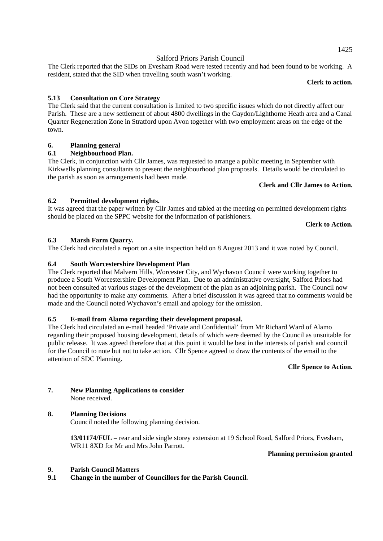The Clerk reported that the SIDs on Evesham Road were tested recently and had been found to be working. A resident, stated that the SID when travelling south wasn't working.

## **Clerk to action.**

# **5.13 Consultation on Core Strategy**

The Clerk said that the current consultation is limited to two specific issues which do not directly affect our Parish. These are a new settlement of about 4800 dwellings in the Gaydon/Lighthorne Heath area and a Canal Quarter Regeneration Zone in Stratford upon Avon together with two employment areas on the edge of the town.

### **6. Planning general**

# **6.1 Neighbourhood Plan.**

The Clerk, in conjunction with Cllr James, was requested to arrange a public meeting in September with Kirkwells planning consultants to present the neighbourhood plan proposals. Details would be circulated to the parish as soon as arrangements had been made.

# **Clerk and Cllr James to Action.**

# **6.2 Permitted development rights.**

It was agreed that the paper written by Cllr James and tabled at the meeting on permitted development rights should be placed on the SPPC website for the information of parishioners.

### **Clerk to Action.**

# **6.3 Marsh Farm Quarry.**

The Clerk had circulated a report on a site inspection held on 8 August 2013 and it was noted by Council.

### **6.4 South Worcestershire Development Plan**

The Clerk reported that Malvern Hills, Worcester City, and Wychavon Council were working together to produce a South Worcestershire Development Plan. Due to an administrative oversight, Salford Priors had not been consulted at various stages of the development of the plan as an adjoining parish. The Council now had the opportunity to make any comments. After a brief discussion it was agreed that no comments would be made and the Council noted Wychavon's email and apology for the omission.

### **6.5 E-mail from Alamo regarding their development proposal.**

The Clerk had circulated an e-mail headed 'Private and Confidential' from Mr Richard Ward of Alamo regarding their proposed housing development, details of which were deemed by the Council as unsuitable for public release. It was agreed therefore that at this point it would be best in the interests of parish and council for the Council to note but not to take action. Cllr Spence agreed to draw the contents of the email to the attention of SDC Planning.

**Cllr Spence to Action.** 

# **7. New Planning Applications to consider**

None received.

### **8. Planning Decisions**

Council noted the following planning decision.

**13/01174/FUL** – rear and side single storey extension at 19 School Road, Salford Priors, Evesham, WR11 8XD for Mr and Mrs John Parrott.

**Planning permission granted** 

### **9. Parish Council Matters**

**9.1 Change in the number of Councillors for the Parish Council.**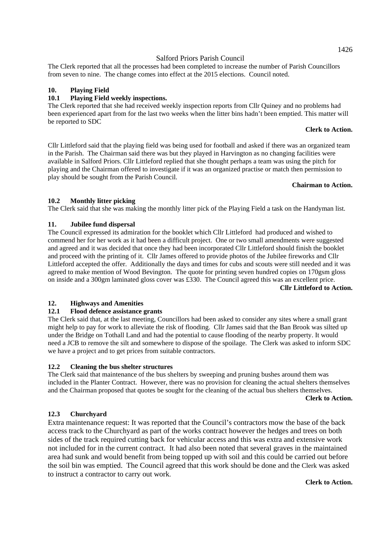The Clerk reported that all the processes had been completed to increase the number of Parish Councillors from seven to nine. The change comes into effect at the 2015 elections. Council noted.

### **10. Playing Field**

## **10.1 Playing Field weekly inspections.**

The Clerk reported that she had received weekly inspection reports from Cllr Quiney and no problems had been experienced apart from for the last two weeks when the litter bins hadn't been emptied. This matter will be reported to SDC

#### **Clerk to Action.**

Cllr Littleford said that the playing field was being used for football and asked if there was an organized team in the Parish. The Chairman said there was but they played in Harvington as no changing facilities were available in Salford Priors. Cllr Littleford replied that she thought perhaps a team was using the pitch for playing and the Chairman offered to investigate if it was an organized practise or match then permission to play should be sought from the Parish Council.

### **Chairman to Action.**

# **10.2 Monthly litter picking**

The Clerk said that she was making the monthly litter pick of the Playing Field a task on the Handyman list.

# **11. Jubilee fund dispersal**

The Council expressed its admiration for the booklet which Cllr Littleford had produced and wished to commend her for her work as it had been a difficult project. One or two small amendments were suggested and agreed and it was decided that once they had been incorporated Cllr Littleford should finish the booklet and proceed with the printing of it. Cllr James offered to provide photos of the Jubilee fireworks and Cllr Littleford accepted the offer. Additionally the days and times for cubs and scouts were still needed and it was agreed to make mention of Wood Bevington. The quote for printing seven hundred copies on 170gsm gloss on inside and a 300gm laminated gloss cover was £330. The Council agreed this was an excellent price.

### **Cllr Littleford to Action.**

### **12. Highways and Amenities**

### **12.1 Flood defence assistance grants**

The Clerk said that, at the last meeting, Councillors had been asked to consider any sites where a small grant might help to pay for work to alleviate the risk of flooding. Cllr James said that the Ban Brook was silted up under the Bridge on Tothall Land and had the potential to cause flooding of the nearby property. It would need a JCB to remove the silt and somewhere to dispose of the spoilage. The Clerk was asked to inform SDC we have a project and to get prices from suitable contractors.

### **12.2 Cleaning the bus shelter structures**

The Clerk said that maintenance of the bus shelters by sweeping and pruning bushes around them was included in the Planter Contract. However, there was no provision for cleaning the actual shelters themselves and the Chairman proposed that quotes be sought for the cleaning of the actual bus shelters themselves.

**Clerk to Action.** 

# **12.3 Churchyard**

Extra maintenance request: It was reported that the Council's contractors mow the base of the back access track to the Churchyard as part of the works contract however the hedges and trees on both sides of the track required cutting back for vehicular access and this was extra and extensive work not included for in the current contract. It had also been noted that several graves in the maintained area had sunk and would benefit from being topped up with soil and this could be carried out before the soil bin was emptied. The Council agreed that this work should be done and the Clerk was asked to instruct a contractor to carry out work.

**Clerk to Action.**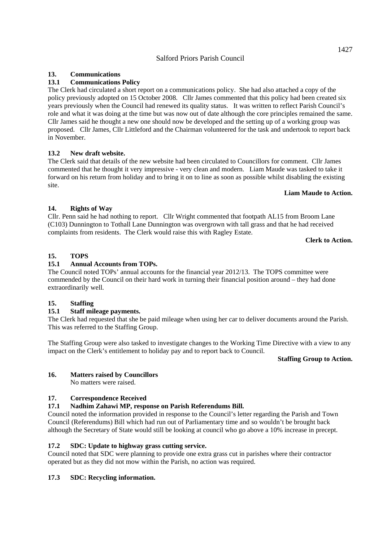#### **13. Communications**

### **13.1 Communications Policy**

The Clerk had circulated a short report on a communications policy. She had also attached a copy of the policy previously adopted on 15 October 2008. Cllr James commented that this policy had been created six years previously when the Council had renewed its quality status. It was written to reflect Parish Council's role and what it was doing at the time but was now out of date although the core principles remained the same. Cllr James said he thought a new one should now be developed and the setting up of a working group was proposed. Cllr James, Cllr Littleford and the Chairman volunteered for the task and undertook to report back in November.

### **13.2 New draft website.**

The Clerk said that details of the new website had been circulated to Councillors for comment. Cllr James commented that he thought it very impressive - very clean and modern. Liam Maude was tasked to take it forward on his return from holiday and to bring it on to line as soon as possible whilst disabling the existing site.

#### **Liam Maude to Action.**

# **14. Rights of Way**

Cllr. Penn said he had nothing to report. Cllr Wright commented that footpath AL15 from Broom Lane (C103) Dunnington to Tothall Lane Dunnington was overgrown with tall grass and that he had received complaints from residents. The Clerk would raise this with Ragley Estate.

#### **Clerk to Action.**

# **15. TOPS**

# **15.1 Annual Accounts from TOPs.**

The Council noted TOPs' annual accounts for the financial year 2012/13. The TOPS committee were commended by the Council on their hard work in turning their financial position around – they had done extraordinarily well.

### **15. Staffing**

### **15.1 Staff mileage payments.**

The Clerk had requested that she be paid mileage when using her car to deliver documents around the Parish. This was referred to the Staffing Group.

The Staffing Group were also tasked to investigate changes to the Working Time Directive with a view to any impact on the Clerk's entitlement to holiday pay and to report back to Council.

#### **Staffing Group to Action.**

### **16. Matters raised by Councillors**

No matters were raised.

### **17. Correspondence Received**

### **17.1 Nadhim Zahawi MP, response on Parish Referendums Bill.**

Council noted the information provided in response to the Council's letter regarding the Parish and Town Council (Referendums) Bill which had run out of Parliamentary time and so wouldn't be brought back although the Secretary of State would still be looking at council who go above a 10% increase in precept.

### **17.2 SDC: Update to highway grass cutting service.**

Council noted that SDC were planning to provide one extra grass cut in parishes where their contractor operated but as they did not mow within the Parish, no action was required.

### **17.3 SDC: Recycling information.**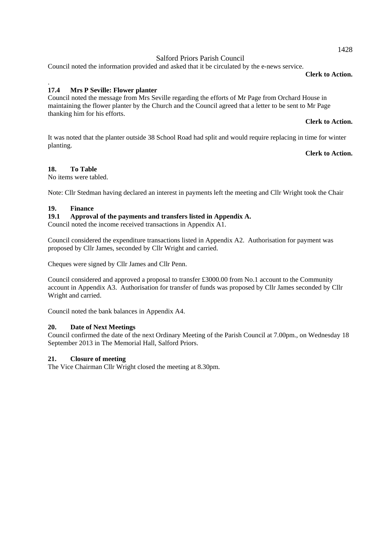Council noted the information provided and asked that it be circulated by the e-news service.

# **Clerk to Action.**

#### . **17.4 Mrs P Seville: Flower planter**

Council noted the message from Mrs Seville regarding the efforts of Mr Page from Orchard House in maintaining the flower planter by the Church and the Council agreed that a letter to be sent to Mr Page thanking him for his efforts.

#### **Clerk to Action.**

It was noted that the planter outside 38 School Road had split and would require replacing in time for winter planting.

### **Clerk to Action.**

# **18. To Table**

No items were tabled.

Note: Cllr Stedman having declared an interest in payments left the meeting and Cllr Wright took the Chair

# **19. Finance**

# **19.1 Approval of the payments and transfers listed in Appendix A.**

Council noted the income received transactions in Appendix A1.

Council considered the expenditure transactions listed in Appendix A2. Authorisation for payment was proposed by Cllr James, seconded by Cllr Wright and carried.

Cheques were signed by Cllr James and Cllr Penn.

Council considered and approved a proposal to transfer £3000.00 from No.1 account to the Community account in Appendix A3. Authorisation for transfer of funds was proposed by Cllr James seconded by Cllr Wright and carried.

Council noted the bank balances in Appendix A4.

# **20. Date of Next Meetings**

Council confirmed the date of the next Ordinary Meeting of the Parish Council at 7.00pm., on Wednesday 18 September 2013 in The Memorial Hall, Salford Priors.

### **21. Closure of meeting**

The Vice Chairman Cllr Wright closed the meeting at 8.30pm.